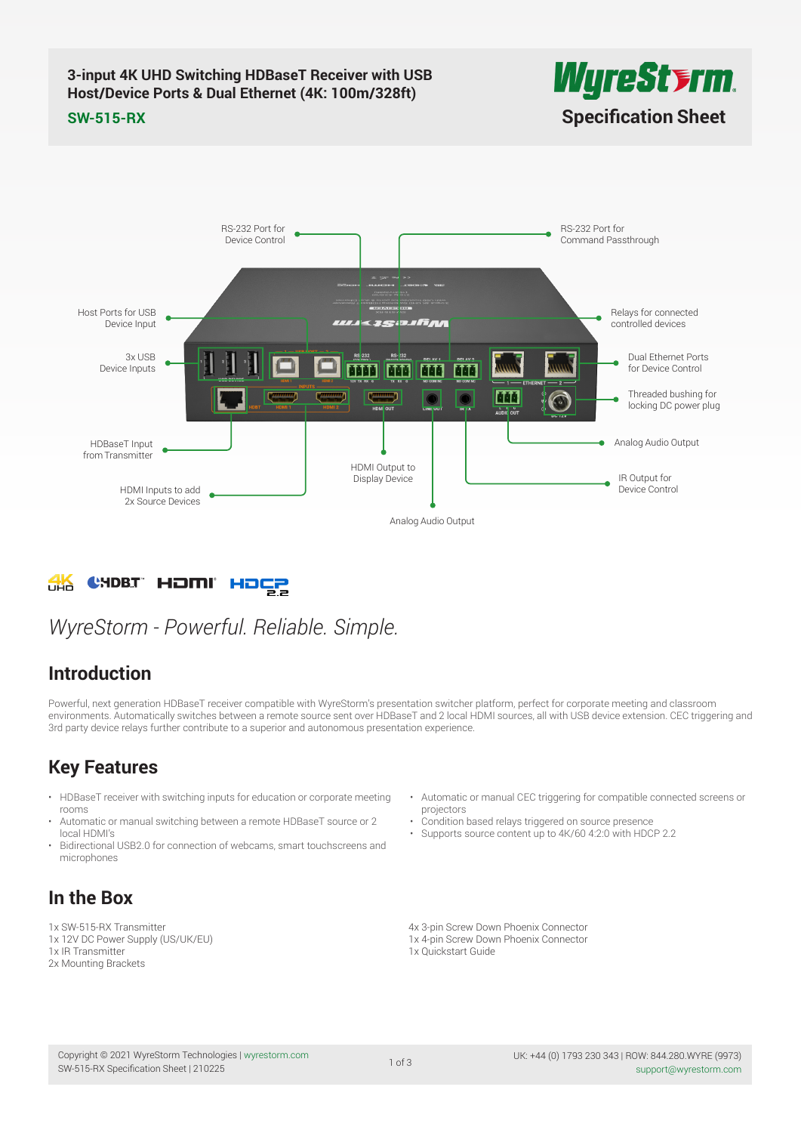### **3-input 4K UHD Switching HDBaseT Receiver with USB Host/Device Ports & Dual Ethernet (4K: 100m/328ft) SW-515-RX [Specification Sheet](https://www.ivojo.co.uk/products.php?man=WyreStorm)**



#### RS-232 Port for RS-232 Port for Device Control Command Passthrough Host Ports for USB Relays for connected Device Input « зевлбла controlled devices 3x USB Dual Ethernet Ports Device Inputs m āāā for Device Control MMM Threaded bushing for ma locking DC power plug Analog Audio Output HDBaseT Input from TransmitterHDMI Output to Display Device IR Output for HDMI Inputs to add Device Control 2x Source Devices Analog Audio Output

#### CHDBT HOMI HOCP **FHA**

## *WyreStorm - Powerful. Reliable. Simple.*

## **Introduction**

Powerful, next generation HDBaseT receiver compatible with WyreStorm's presentation switcher platform, perfect for corporate meeting and classroom environments. Automatically switches between a remote source sent over HDBaseT and 2 local HDMI sources, all with USB device extension. CEC triggering and 3rd party device relays further contribute to a superior and autonomous presentation experience.

## **Key Features**

- HDBaseT receiver with switching inputs for education or corporate meeting rooms
- Automatic or manual switching between a remote HDBaseT source or 2 local HDMI's
- Bidirectional USB2.0 for connection of webcams, smart touchscreens and microphones

#### • Automatic or manual CEC triggering for compatible connected screens or projectors • Condition based relays triggered on source presence

• Supports source content up to 4K/60 4:2:0 with HDCP 2.2

## **In the Box**

1x SW-515-RX Transmitter 1x 12V DC Power Supply (US/UK/EU)

- 1x IR Transmitter
- 2x Mounting Brackets

4x 3-pin Screw Down Phoenix Connector 1x 4-pin Screw Down Phoenix Connector 1x Quickstart Guide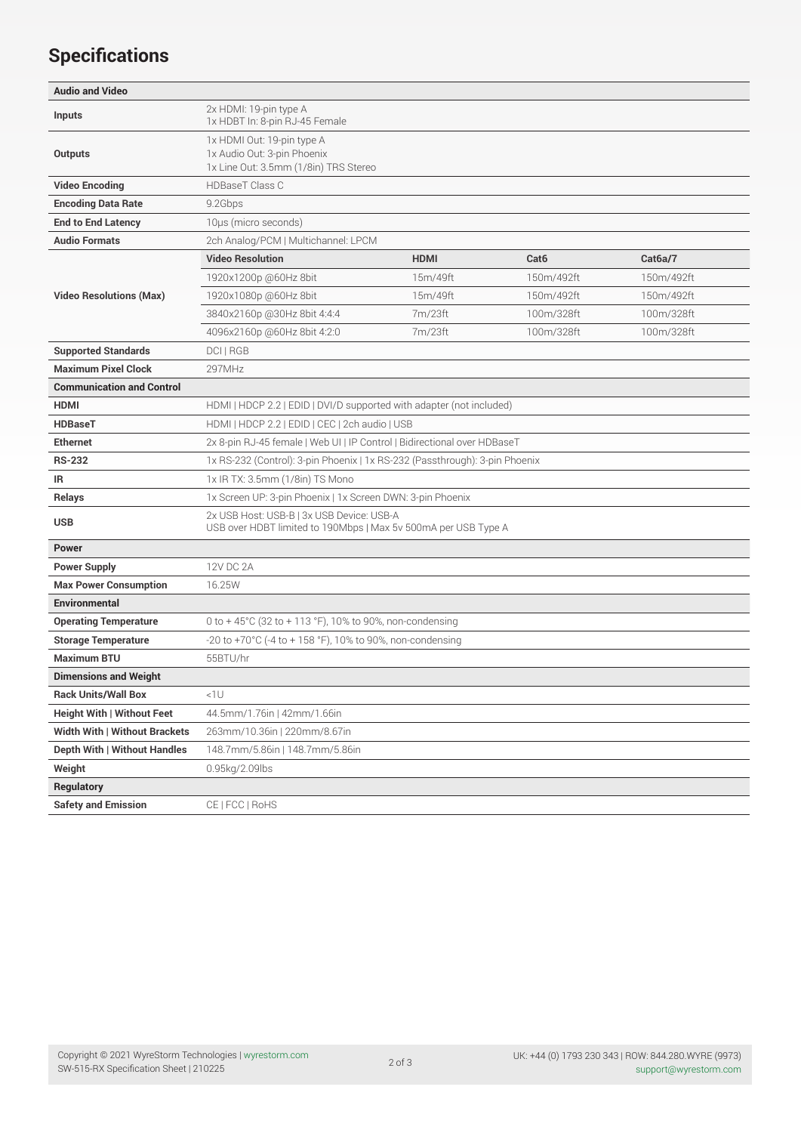## **Specifications**

| <b>Audio and Video</b>               |                                                                                                             |             |                  |                      |
|--------------------------------------|-------------------------------------------------------------------------------------------------------------|-------------|------------------|----------------------|
| <b>Inputs</b>                        | 2x HDMI: 19-pin type A<br>1x HDBT In: 8-pin RJ-45 Female                                                    |             |                  |                      |
| <b>Outputs</b>                       | 1x HDMI Out: 19-pin type A<br>1x Audio Out: 3-pin Phoenix<br>1x Line Out: 3.5mm (1/8in) TRS Stereo          |             |                  |                      |
| <b>Video Encoding</b>                | <b>HDBaseT Class C</b>                                                                                      |             |                  |                      |
| <b>Encoding Data Rate</b>            | 9.2Gbps                                                                                                     |             |                  |                      |
| <b>End to End Latency</b>            | 10µs (micro seconds)                                                                                        |             |                  |                      |
| <b>Audio Formats</b>                 | 2ch Analog/PCM   Multichannel: LPCM                                                                         |             |                  |                      |
|                                      | <b>Video Resolution</b>                                                                                     | <b>HDMI</b> | Cat <sub>6</sub> | Cat <sub>6a</sub> /7 |
|                                      | 1920x1200p @60Hz 8bit                                                                                       | 15m/49ft    | 150m/492ft       | 150m/492ft           |
| <b>Video Resolutions (Max)</b>       | 1920x1080p @60Hz 8bit                                                                                       | 15m/49ft    | 150m/492ft       | 150m/492ft           |
|                                      | 3840x2160p @30Hz 8bit 4:4:4                                                                                 | 7m/23ft     | 100m/328ft       | 100m/328ft           |
|                                      | 4096x2160p @60Hz 8bit 4:2:0                                                                                 | 7m/23ft     | 100m/328ft       | 100m/328ft           |
| <b>Supported Standards</b>           | <b>DCIIRGB</b>                                                                                              |             |                  |                      |
| <b>Maximum Pixel Clock</b>           | 297MHz                                                                                                      |             |                  |                      |
| <b>Communication and Control</b>     |                                                                                                             |             |                  |                      |
| <b>HDMI</b>                          | HDMI   HDCP 2.2   EDID   DVI/D supported with adapter (not included)                                        |             |                  |                      |
| <b>HDBaseT</b>                       | HDMI   HDCP 2.2   EDID   CEC   2ch audio   USB                                                              |             |                  |                      |
| <b>Ethernet</b>                      | 2x 8-pin RJ-45 female   Web UI   IP Control   Bidirectional over HDBaseT                                    |             |                  |                      |
| <b>RS-232</b>                        | 1x RS-232 (Control): 3-pin Phoenix   1x RS-232 (Passthrough): 3-pin Phoenix                                 |             |                  |                      |
| IR                                   | 1x IR TX: 3.5mm (1/8in) TS Mono                                                                             |             |                  |                      |
| <b>Relays</b>                        | 1x Screen UP: 3-pin Phoenix   1x Screen DWN: 3-pin Phoenix                                                  |             |                  |                      |
| <b>USB</b>                           | 2x USB Host: USB-B   3x USB Device: USB-A<br>USB over HDBT limited to 190Mbps   Max 5v 500mA per USB Type A |             |                  |                      |
| <b>Power</b>                         |                                                                                                             |             |                  |                      |
| <b>Power Supply</b>                  | 12V DC 2A                                                                                                   |             |                  |                      |
| <b>Max Power Consumption</b>         | 16.25W                                                                                                      |             |                  |                      |
| <b>Environmental</b>                 |                                                                                                             |             |                  |                      |
| <b>Operating Temperature</b>         | 0 to +45°C (32 to +113 °F), 10% to 90%, non-condensing                                                      |             |                  |                      |
| <b>Storage Temperature</b>           | -20 to +70°C (-4 to + 158 °F), 10% to 90%, non-condensing                                                   |             |                  |                      |
| <b>Maximum BTU</b>                   | 55BTU/hr                                                                                                    |             |                  |                      |
| <b>Dimensions and Weight</b>         |                                                                                                             |             |                  |                      |
| <b>Rack Units/Wall Box</b>           | < 10                                                                                                        |             |                  |                      |
| <b>Height With   Without Feet</b>    | 44.5mm/1.76in   42mm/1.66in                                                                                 |             |                  |                      |
| <b>Width With   Without Brackets</b> | 263mm/10.36in   220mm/8.67in                                                                                |             |                  |                      |
| Depth With   Without Handles         | 148.7mm/5.86in   148.7mm/5.86in                                                                             |             |                  |                      |
| Weight                               | 0.95kg/2.09lbs                                                                                              |             |                  |                      |
| <b>Regulatory</b>                    |                                                                                                             |             |                  |                      |
| <b>Safety and Emission</b>           | CE   FCC   RoHS                                                                                             |             |                  |                      |

2 of 3